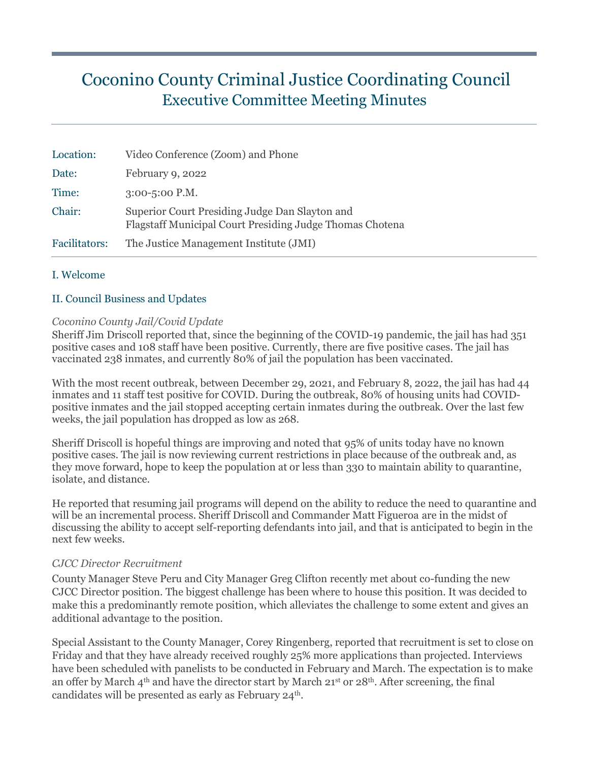# Coconino County Criminal Justice Coordinating Council Executive Committee Meeting Minutes

| Location:     | Video Conference (Zoom) and Phone                                                                          |
|---------------|------------------------------------------------------------------------------------------------------------|
| Date:         | February 9, 2022                                                                                           |
| Time:         | $3:00 - 5:00$ P.M.                                                                                         |
| Chair:        | Superior Court Presiding Judge Dan Slayton and<br>Flagstaff Municipal Court Presiding Judge Thomas Chotena |
| Facilitators: | The Justice Management Institute (JMI)                                                                     |

#### I. Welcome

#### II. Council Business and Updates

#### *Coconino County Jail/Covid Update*

Sheriff Jim Driscoll reported that, since the beginning of the COVID-19 pandemic, the jail has had 351 positive cases and 108 staff have been positive. Currently, there are five positive cases. The jail has vaccinated 238 inmates, and currently 80% of jail the population has been vaccinated.

With the most recent outbreak, between December 29, 2021, and February 8, 2022, the jail has had 44 inmates and 11 staff test positive for COVID. During the outbreak, 80% of housing units had COVIDpositive inmates and the jail stopped accepting certain inmates during the outbreak. Over the last few weeks, the jail population has dropped as low as 268.

Sheriff Driscoll is hopeful things are improving and noted that 95% of units today have no known positive cases. The jail is now reviewing current restrictions in place because of the outbreak and, as they move forward, hope to keep the population at or less than 330 to maintain ability to quarantine, isolate, and distance.

He reported that resuming jail programs will depend on the ability to reduce the need to quarantine and will be an incremental process. Sheriff Driscoll and Commander Matt Figueroa are in the midst of discussing the ability to accept self-reporting defendants into jail, and that is anticipated to begin in the next few weeks.

#### *CJCC Director Recruitment*

County Manager Steve Peru and City Manager Greg Clifton recently met about co-funding the new CJCC Director position. The biggest challenge has been where to house this position. It was decided to make this a predominantly remote position, which alleviates the challenge to some extent and gives an additional advantage to the position.

Special Assistant to the County Manager, Corey Ringenberg, reported that recruitment is set to close on Friday and that they have already received roughly 25% more applications than projected. Interviews have been scheduled with panelists to be conducted in February and March. The expectation is to make an offer by March 4<sup>th</sup> and have the director start by March 21<sup>st</sup> or 28<sup>th</sup>. After screening, the final candidates will be presented as early as February 24<sup>th</sup>.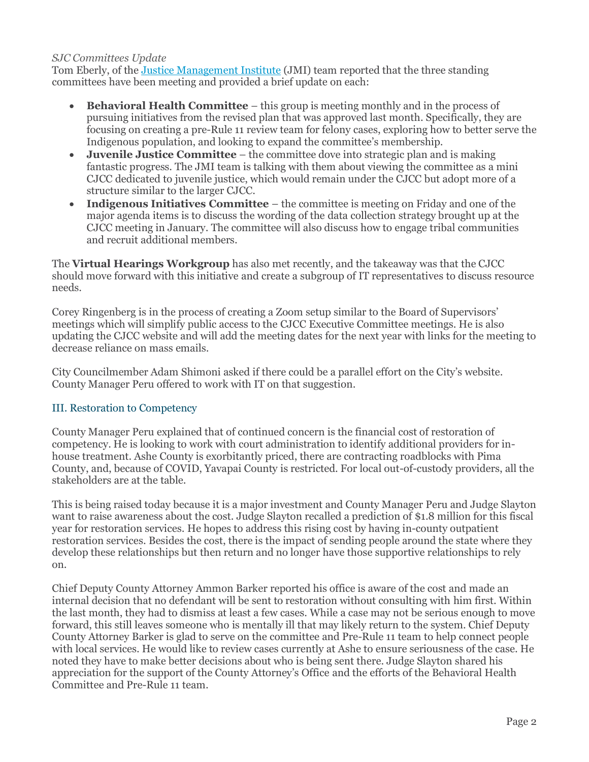#### *SJC Committees Update*

Tom Eberly, of the [Justice Management Institute](http://www.jmijustice.org/) (JMI) team reported that the three standing committees have been meeting and provided a brief update on each:

- **Behavioral Health Committee** this group is meeting monthly and in the process of pursuing initiatives from the revised plan that was approved last month. Specifically, they are focusing on creating a pre-Rule 11 review team for felony cases, exploring how to better serve the Indigenous population, and looking to expand the committee's membership.
- **Juvenile Justice Committee** the committee dove into strategic plan and is making fantastic progress. The JMI team is talking with them about viewing the committee as a mini CJCC dedicated to juvenile justice, which would remain under the CJCC but adopt more of a structure similar to the larger CJCC.
- **Indigenous Initiatives Committee**  the committee is meeting on Friday and one of the major agenda items is to discuss the wording of the data collection strategy brought up at the CJCC meeting in January. The committee will also discuss how to engage tribal communities and recruit additional members.

The **Virtual Hearings Workgroup** has also met recently, and the takeaway was that the CJCC should move forward with this initiative and create a subgroup of IT representatives to discuss resource needs.

Corey Ringenberg is in the process of creating a Zoom setup similar to the Board of Supervisors' meetings which will simplify public access to the CJCC Executive Committee meetings. He is also updating the CJCC website and will add the meeting dates for the next year with links for the meeting to decrease reliance on mass emails.

City Councilmember Adam Shimoni asked if there could be a parallel effort on the City's website. County Manager Peru offered to work with IT on that suggestion.

#### III. Restoration to Competency

County Manager Peru explained that of continued concern is the financial cost of restoration of competency. He is looking to work with court administration to identify additional providers for inhouse treatment. Ashe County is exorbitantly priced, there are contracting roadblocks with Pima County, and, because of COVID, Yavapai County is restricted. For local out-of-custody providers, all the stakeholders are at the table.

This is being raised today because it is a major investment and County Manager Peru and Judge Slayton want to raise awareness about the cost. Judge Slayton recalled a prediction of \$1.8 million for this fiscal year for restoration services. He hopes to address this rising cost by having in-county outpatient restoration services. Besides the cost, there is the impact of sending people around the state where they develop these relationships but then return and no longer have those supportive relationships to rely on.

Chief Deputy County Attorney Ammon Barker reported his office is aware of the cost and made an internal decision that no defendant will be sent to restoration without consulting with him first. Within the last month, they had to dismiss at least a few cases. While a case may not be serious enough to move forward, this still leaves someone who is mentally ill that may likely return to the system. Chief Deputy County Attorney Barker is glad to serve on the committee and Pre-Rule 11 team to help connect people with local services. He would like to review cases currently at Ashe to ensure seriousness of the case. He noted they have to make better decisions about who is being sent there. Judge Slayton shared his appreciation for the support of the County Attorney's Office and the efforts of the Behavioral Health Committee and Pre-Rule 11 team.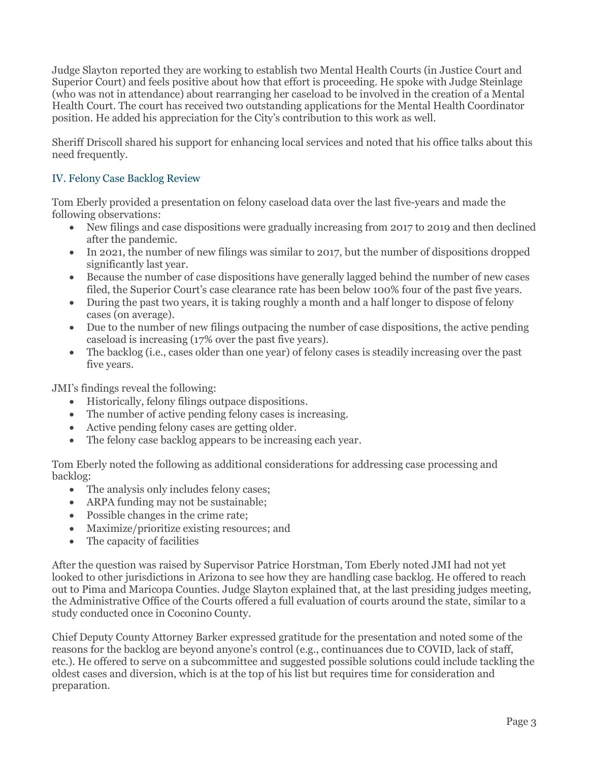Judge Slayton reported they are working to establish two Mental Health Courts (in Justice Court and Superior Court) and feels positive about how that effort is proceeding. He spoke with Judge Steinlage (who was not in attendance) about rearranging her caseload to be involved in the creation of a Mental Health Court. The court has received two outstanding applications for the Mental Health Coordinator position. He added his appreciation for the City's contribution to this work as well.

Sheriff Driscoll shared his support for enhancing local services and noted that his office talks about this need frequently.

### IV. Felony Case Backlog Review

Tom Eberly provided a presentation on felony caseload data over the last five-years and made the following observations:

- New filings and case dispositions were gradually increasing from 2017 to 2019 and then declined after the pandemic.
- In 2021, the number of new filings was similar to 2017, but the number of dispositions dropped significantly last year.
- Because the number of case dispositions have generally lagged behind the number of new cases filed, the Superior Court's case clearance rate has been below 100% four of the past five years.
- During the past two years, it is taking roughly a month and a half longer to dispose of felony cases (on average).
- Due to the number of new filings outpacing the number of case dispositions, the active pending caseload is increasing (17% over the past five years).
- The backlog (i.e., cases older than one year) of felony cases is steadily increasing over the past five years.

JMI's findings reveal the following:

- Historically, felony filings outpace dispositions.
- The number of active pending felony cases is increasing.
- Active pending felony cases are getting older.
- The felony case backlog appears to be increasing each year.

Tom Eberly noted the following as additional considerations for addressing case processing and backlog:

- The analysis only includes felony cases;
- ARPA funding may not be sustainable;
- Possible changes in the crime rate;
- Maximize/prioritize existing resources; and
- The capacity of facilities

After the question was raised by Supervisor Patrice Horstman, Tom Eberly noted JMI had not yet looked to other jurisdictions in Arizona to see how they are handling case backlog. He offered to reach out to Pima and Maricopa Counties. Judge Slayton explained that, at the last presiding judges meeting, the Administrative Office of the Courts offered a full evaluation of courts around the state, similar to a study conducted once in Coconino County.

Chief Deputy County Attorney Barker expressed gratitude for the presentation and noted some of the reasons for the backlog are beyond anyone's control (e.g., continuances due to COVID, lack of staff, etc.). He offered to serve on a subcommittee and suggested possible solutions could include tackling the oldest cases and diversion, which is at the top of his list but requires time for consideration and preparation.